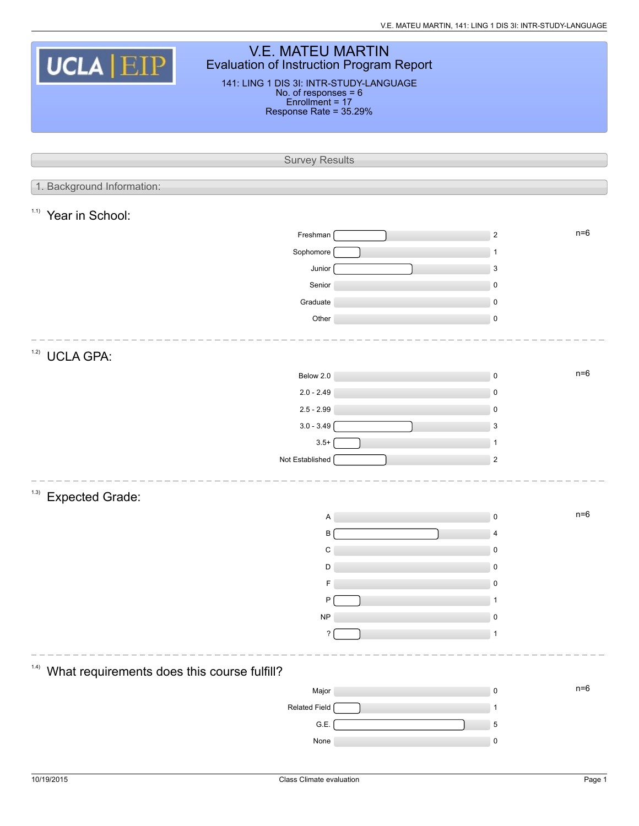| <b>V.E. MATEU MARTIN</b><br><b>UCLA EIP</b><br>Evaluation of Instruction Program Report<br>141: LING 1 DIS 3I: INTR-STUDY-LANGUAGE<br>No. of responses = 6<br>Enrollment = 17 |                        |  |                         |       |  |  |  |  |
|-------------------------------------------------------------------------------------------------------------------------------------------------------------------------------|------------------------|--|-------------------------|-------|--|--|--|--|
|                                                                                                                                                                               | Response Rate = 35.29% |  |                         |       |  |  |  |  |
|                                                                                                                                                                               |                        |  |                         |       |  |  |  |  |
|                                                                                                                                                                               |                        |  |                         |       |  |  |  |  |
|                                                                                                                                                                               | <b>Survey Results</b>  |  |                         |       |  |  |  |  |
| 1. Background Information:                                                                                                                                                    |                        |  |                         |       |  |  |  |  |
|                                                                                                                                                                               |                        |  |                         |       |  |  |  |  |
| 1.1)<br>Year in School:                                                                                                                                                       |                        |  |                         |       |  |  |  |  |
|                                                                                                                                                                               | Freshman               |  | $n=6$<br>$\overline{2}$ |       |  |  |  |  |
|                                                                                                                                                                               | Sophomore              |  | 1                       |       |  |  |  |  |
|                                                                                                                                                                               | Junior                 |  | $\mathbf{3}$            |       |  |  |  |  |
|                                                                                                                                                                               | Senior                 |  | $\mathbf 0$             |       |  |  |  |  |
|                                                                                                                                                                               | Graduate               |  | $\pmb{0}$               |       |  |  |  |  |
|                                                                                                                                                                               | Other                  |  | $\mathbf 0$             |       |  |  |  |  |
|                                                                                                                                                                               |                        |  |                         |       |  |  |  |  |
| 1.2)<br><b>UCLA GPA:</b>                                                                                                                                                      |                        |  |                         |       |  |  |  |  |
|                                                                                                                                                                               | Below 2.0              |  | $\pmb{0}$               | $n=6$ |  |  |  |  |
|                                                                                                                                                                               | $2.0 - 2.49$           |  | $\pmb{0}$               |       |  |  |  |  |
|                                                                                                                                                                               | $2.5 - 2.99$           |  | $\mathbf 0$             |       |  |  |  |  |
|                                                                                                                                                                               | $3.0 - 3.49$           |  | 3                       |       |  |  |  |  |
|                                                                                                                                                                               | $3.5+$                 |  | $\mathbf{1}$            |       |  |  |  |  |
|                                                                                                                                                                               | Not Established        |  | $\overline{2}$          |       |  |  |  |  |
|                                                                                                                                                                               |                        |  |                         |       |  |  |  |  |
| (1.3)<br><b>Expected Grade:</b>                                                                                                                                               |                        |  |                         |       |  |  |  |  |
|                                                                                                                                                                               |                        |  | $n=6$                   |       |  |  |  |  |
|                                                                                                                                                                               | Α<br>B                 |  | $\pmb{0}$               |       |  |  |  |  |
|                                                                                                                                                                               | C                      |  | 4<br>$\mathbf 0$        |       |  |  |  |  |
|                                                                                                                                                                               | D                      |  | $\pmb{0}$               |       |  |  |  |  |
|                                                                                                                                                                               |                        |  | $\mathbf 0$             |       |  |  |  |  |
|                                                                                                                                                                               | P                      |  | 1                       |       |  |  |  |  |
|                                                                                                                                                                               | <b>NP</b>              |  | 0                       |       |  |  |  |  |
|                                                                                                                                                                               | ?                      |  | 1                       |       |  |  |  |  |
|                                                                                                                                                                               |                        |  |                         |       |  |  |  |  |
| 1.4)                                                                                                                                                                          |                        |  |                         |       |  |  |  |  |
| What requirements does this course fulfill?                                                                                                                                   |                        |  | $n=6$                   |       |  |  |  |  |
|                                                                                                                                                                               | Major                  |  | $\pmb{0}$               |       |  |  |  |  |
|                                                                                                                                                                               | Related Field          |  | 1                       |       |  |  |  |  |
|                                                                                                                                                                               | G.E.                   |  | 5                       |       |  |  |  |  |
|                                                                                                                                                                               | None                   |  | $\pmb{0}$               |       |  |  |  |  |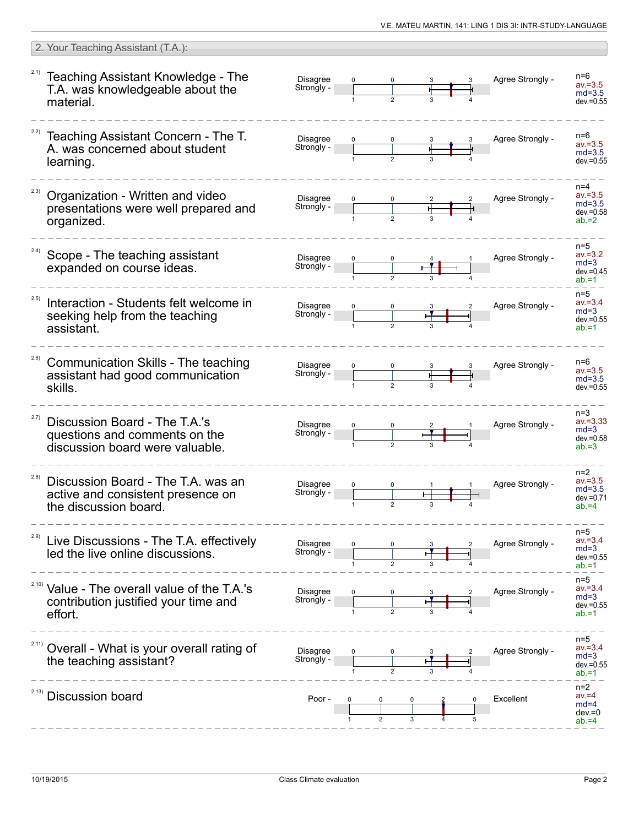|       | 2. Your Teaching Assistant (T.A.):                                                                          |                               |             |   |                  |                                                             |
|-------|-------------------------------------------------------------------------------------------------------------|-------------------------------|-------------|---|------------------|-------------------------------------------------------------|
|       | <sup>2.1)</sup> Teaching Assistant Knowledge - The<br>T.A. was knowledgeable about the<br>material.         | <b>Disagree</b><br>Strongly - |             |   | Agree Strongly - | n=6<br>$av = 3.5$<br>$md=3.5$<br>$dev = 0.55$               |
|       | Teaching Assistant Concern - The T.<br>A. was concerned about student<br>learning.                          | <b>Disagree</b><br>Strongly - |             |   | Agree Strongly - | $n=6$<br>$av = 3.5$<br>$md=3.5$<br>$dev = 0.55$             |
| 2.3)  | Organization - Written and video<br>presentations were well prepared and<br>organized.                      | <b>Disagree</b><br>Strongly - |             |   | Agree Strongly - | $n=4$<br>$av = 3.5$<br>$md=3.5$<br>$dev = 0.58$<br>$ab = 2$ |
| 2.4)  | Scope - The teaching assistant<br>expanded on course ideas.                                                 | <b>Disagree</b><br>Strongly - |             |   | Agree Strongly - | $n=5$<br>$av = 3.2$<br>$md=3$<br>$dev = 0.45$<br>$ab = 1$   |
| 2.5)  | Interaction - Students felt welcome in<br>seeking help from the teaching<br>assistant.                      | <b>Disagree</b><br>Strongly - |             |   | Agree Strongly - | $n=5$<br>$av = 3.4$<br>$md=3$<br>$dev = 0.55$<br>$ab = 1$   |
| 2.6)  | Communication Skills - The teaching<br>assistant had good communication<br>skills.                          | <b>Disagree</b><br>Strongly - |             |   | Agree Strongly - | $n=6$<br>$av = 3.5$<br>$md=3.5$<br>$dev = 0.55$             |
| 2.7)  | Discussion Board - The T.A.'s<br>questions and comments on the<br>discussion board were valuable.           | <b>Disagree</b><br>Strongly - |             |   | Agree Strongly - | $n=3$<br>$av = 3.33$<br>$md=3$<br>$dev = 0.58$<br>$ab = 3$  |
| (2.8) | Discussion Board - The T.A. was an<br>active and consistent presence on<br>the discussion board.            | <b>Disagree</b><br>Strongly - | $\mathbf 2$ | 3 | Agree Strongly - | $n=2$<br>$av = 3.5$<br>$md=3.5$<br>$dev = 0.71$<br>$ab = 4$ |
| 2.9)  | Live Discussions - The T.A. effectively<br>led the live online discussions.                                 | Disagree<br>Strongly -        |             |   | Agree Strongly - | $n=5$<br>$av = 3.4$<br>$md=3$<br>$dev = 0.55$<br>$ab = 1$   |
|       | <sup>2.10)</sup> Value - The overall value of the T.A.'s<br>contribution justified your time and<br>effort. | Disagree<br>Strongly -        |             |   | Agree Strongly - | $n=5$<br>$av = 3.4$<br>$md=3$<br>$dev = 0.55$<br>$ab = 1$   |
|       | Overall - What is your overall rating of<br>the teaching assistant?                                         | <b>Disagree</b><br>Strongly - |             |   | Agree Strongly - | $n=5$<br>$av = 3.4$<br>$md=3$<br>$dev = 0.55$<br>$ab = 1$   |
| 2.13) | <b>Discussion board</b>                                                                                     | Poor -                        |             |   | Excellent        | $n=2$<br>$av = 4$<br>$md=4$<br>$dev = 0$<br>$ab = 4$        |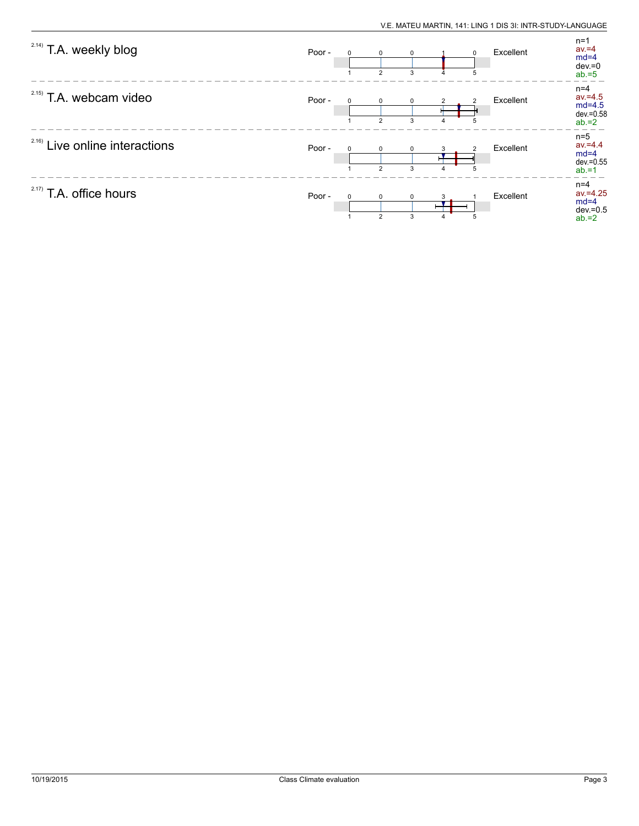| <sup>2.14)</sup> T.A. weekly blog | Poor - | $\Omega$ | $\Omega$<br>$\overline{2}$ | $\mathbf 0$<br>3 |   | $\Omega$<br>5 | Excellent | $n=1$<br>$av = 4$<br>$md=4$<br>$dev = 0$<br>$ab = 5$      |
|-----------------------------------|--------|----------|----------------------------|------------------|---|---------------|-----------|-----------------------------------------------------------|
| $2.15)$ T.A. webcam video         | Poor - |          | $\Omega$<br>$\overline{2}$ | $\Omega$<br>3    | 4 | 5             | Excellent | $n=4$<br>$av = 4.5$<br>$md=4.5$<br>dev.=0.58<br>$ab = 2$  |
| $2.16)$ Live online interactions  | Poor - |          | $\Omega$<br>$\mathcal{P}$  | ŋ<br>3           |   |               | Excellent | $n=5$<br>$av = 4.4$<br>$md=4$<br>$dev = 0.55$<br>$ab = 1$ |
| 2.17)<br>T.A. office hours        | Poor - | $\Omega$ | $\Omega$<br>$\overline{2}$ | 0<br>3           |   | 5             | Excellent | $n=4$<br>$av = 4.25$<br>$md=4$<br>$dev = 0.5$<br>$ab = 2$ |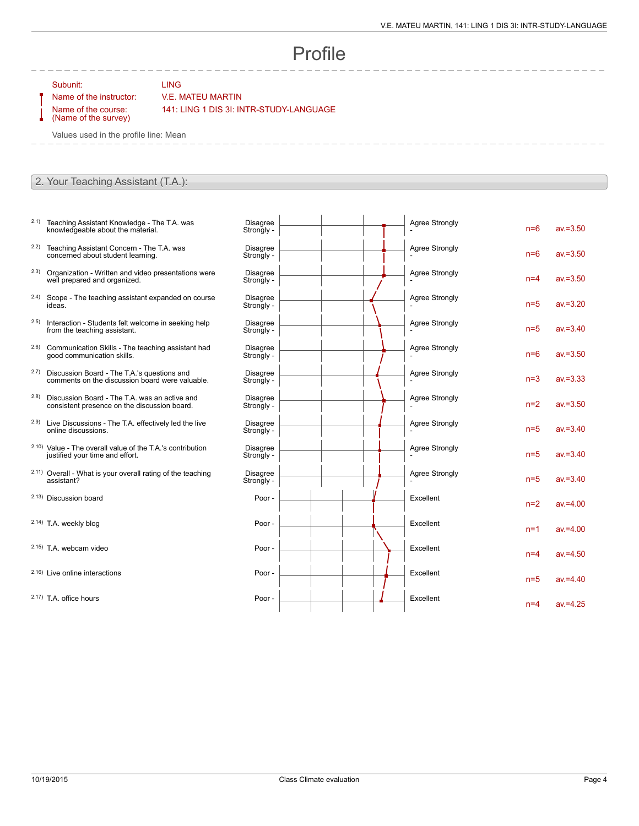## Profile

Subunit: LING

## Name of the instructor: V.E. MATEU MARTIN

Name of the course: (Name of the survey) 141: LING 1 DIS 3I: INTR-STUDY-LANGUAGE

Values used in the profile line: Mean

## 2. Your Teaching Assistant (T.A.):

- 2.1) Teaching Assistant Knowledge The T.A. was knowledgeable about the material.
- 2.2) Teaching Assistant Concern The T.A. was concerned about student learning.
- 2.3) Organization Written and video presentations were well prepared and organized.
- 2.4) Scope The teaching assistant expanded on course ideas.
- 2.5) Interaction Students felt welcome in seeking help from the teaching assistant.
- 2.6) Communication Skills The teaching assistant had good communication skills.
- 2.7) Discussion Board The T.A.'s questions and comments on the discussion board were valuable.
- 2.8) Discussion Board The T.A. was an active and consistent presence on the discussion board.
- 2.9) Live Discussions The T.A. effectively led the live online discussions.
- 2.10) Value The overall value of the T.A.'s contribution justified your time and effort.
- 2.11) Overall What is your overall rating of the teaching assistant?
- 2.13) Discussion board

2.14) T.A. weekly blog

- $2.15$ ) T.A. webcam video
- $2.16$ ) Live online interactions
- $2.17$ ) T.A. office hours

| <b>Disagree</b><br>Strongly - | Agree Strongly        | $n=6$ | $av = 3.50$ |
|-------------------------------|-----------------------|-------|-------------|
| <b>Disagree</b><br>Strongly - | <b>Agree Strongly</b> | $n=6$ | $av = 3.50$ |
| <b>Disagree</b><br>Strongly - | <b>Agree Strongly</b> | $n=4$ | $av = 3.50$ |
| <b>Disagree</b><br>Strongly - | Agree Strongly        | $n=5$ | $av = 3.20$ |
| <b>Disagree</b><br>Strongly - | <b>Agree Strongly</b> | $n=5$ | $av = 3.40$ |
| <b>Disagree</b><br>Strongly - | <b>Agree Strongly</b> | $n=6$ | $av = 3.50$ |
| <b>Disagree</b><br>Strongly - | <b>Agree Strongly</b> | $n=3$ | $av = 3.33$ |
| <b>Disagree</b><br>Strongly - | <b>Agree Strongly</b> | $n=2$ | $av = 3.50$ |
| <b>Disagree</b><br>Strongly - | Agree Strongly        | $n=5$ | $av = 3.40$ |
| <b>Disagree</b><br>Strongly - | <b>Agree Strongly</b> | $n=5$ | $av = 3.40$ |
| <b>Disagree</b><br>Strongly - | <b>Agree Strongly</b> | $n=5$ | $av = 3.40$ |
| Poor -                        | Excellent             | $n=2$ | $av = 4.00$ |
| Poor -                        | Excellent             | $n=1$ | $av = 4.00$ |
| Poor -                        | Excellent             | $n=4$ | $av = 4.50$ |
| Poor -                        | Excellent             | $n=5$ | $av = 4.40$ |
| Poor -                        | Excellent             | $n=4$ | $av = 4.25$ |
|                               |                       |       |             |